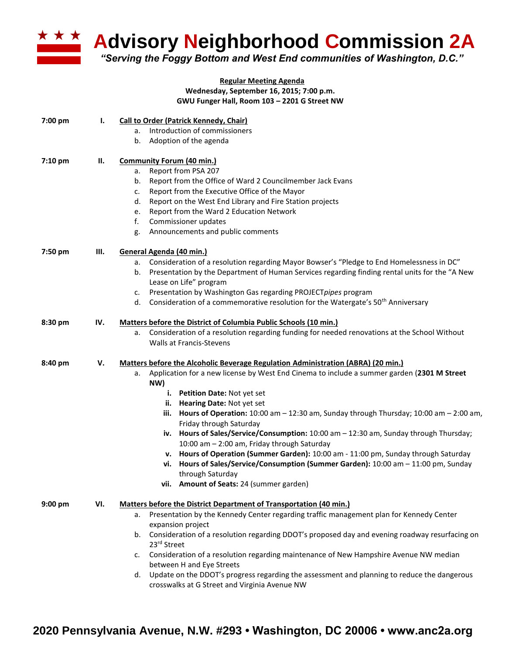

**Advisory Neighborhood Commission 2A** 

*"Serving the Foggy Bottom and West End communities of Washington, D.C."*

## **Regular Meeting Agenda Wednesday, September 16, 2015; 7:00 p.m. GWU Funger Hall, Room 103 – 2201 G Street NW**

| 7:00 pm | Ι.  | <b>Call to Order (Patrick Kennedy, Chair)</b>                                                                                                      |  |  |  |
|---------|-----|----------------------------------------------------------------------------------------------------------------------------------------------------|--|--|--|
|         |     | Introduction of commissioners<br>a.                                                                                                                |  |  |  |
|         |     | Adoption of the agenda<br>b.                                                                                                                       |  |  |  |
| 7:10 pm | П.  | <b>Community Forum (40 min.)</b>                                                                                                                   |  |  |  |
|         |     | Report from PSA 207<br>a.                                                                                                                          |  |  |  |
|         |     | Report from the Office of Ward 2 Councilmember Jack Evans<br>b.                                                                                    |  |  |  |
|         |     | Report from the Executive Office of the Mayor<br>c.                                                                                                |  |  |  |
|         |     | Report on the West End Library and Fire Station projects<br>d.                                                                                     |  |  |  |
|         |     | Report from the Ward 2 Education Network<br>e.                                                                                                     |  |  |  |
|         |     | Commissioner updates<br>f.                                                                                                                         |  |  |  |
|         |     | Announcements and public comments<br>g.                                                                                                            |  |  |  |
| 7:50 pm | Ш.  | General Agenda (40 min.)                                                                                                                           |  |  |  |
|         |     | Consideration of a resolution regarding Mayor Bowser's "Pledge to End Homelessness in DC"<br>а.                                                    |  |  |  |
|         |     | Presentation by the Department of Human Services regarding finding rental units for the "A New<br>b.                                               |  |  |  |
|         |     | Lease on Life" program                                                                                                                             |  |  |  |
|         |     | Presentation by Washington Gas regarding PROJECTpipes program<br>c.                                                                                |  |  |  |
|         |     | d. Consideration of a commemorative resolution for the Watergate's 50 <sup>th</sup> Anniversary                                                    |  |  |  |
| 8:30 pm | IV. | Matters before the District of Columbia Public Schools (10 min.)                                                                                   |  |  |  |
|         |     | Consideration of a resolution regarding funding for needed renovations at the School Without<br>а.                                                 |  |  |  |
|         |     | Walls at Francis-Stevens                                                                                                                           |  |  |  |
| 8:40 pm | v.  | Matters before the Alcoholic Beverage Regulation Administration (ABRA) (20 min.)                                                                   |  |  |  |
|         |     | Application for a new license by West End Cinema to include a summer garden (2301 M Street<br>a.<br>NW)                                            |  |  |  |
|         |     | i. Petition Date: Not yet set                                                                                                                      |  |  |  |
|         |     | ii. Hearing Date: Not yet set                                                                                                                      |  |  |  |
|         |     | iii. Hours of Operation: 10:00 am - 12:30 am, Sunday through Thursday; 10:00 am - 2:00 am,                                                         |  |  |  |
|         |     | Friday through Saturday                                                                                                                            |  |  |  |
|         |     | iv. Hours of Sales/Service/Consumption: 10:00 am - 12:30 am, Sunday through Thursday;                                                              |  |  |  |
|         |     | 10:00 am - 2:00 am, Friday through Saturday                                                                                                        |  |  |  |
|         |     | v. Hours of Operation (Summer Garden): 10:00 am - 11:00 pm, Sunday through Saturday                                                                |  |  |  |
|         |     | vi. Hours of Sales/Service/Consumption (Summer Garden): 10:00 am - 11:00 pm, Sunday<br>through Saturday                                            |  |  |  |
|         |     | vii. Amount of Seats: 24 (summer garden)                                                                                                           |  |  |  |
|         |     |                                                                                                                                                    |  |  |  |
| 9:00 pm | VI. | <b>Matters before the District Department of Transportation (40 min.)</b>                                                                          |  |  |  |
|         |     | Presentation by the Kennedy Center regarding traffic management plan for Kennedy Center<br>а.                                                      |  |  |  |
|         |     | expansion project                                                                                                                                  |  |  |  |
|         |     | Consideration of a resolution regarding DDOT's proposed day and evening roadway resurfacing on<br>b.                                               |  |  |  |
|         |     | 23rd Street                                                                                                                                        |  |  |  |
|         |     | Consideration of a resolution regarding maintenance of New Hampshire Avenue NW median<br>c.                                                        |  |  |  |
|         |     | between H and Eye Streets                                                                                                                          |  |  |  |
|         |     | Update on the DDOT's progress regarding the assessment and planning to reduce the dangerous<br>d.<br>crosswalks at G Street and Virginia Avenue NW |  |  |  |
|         |     |                                                                                                                                                    |  |  |  |